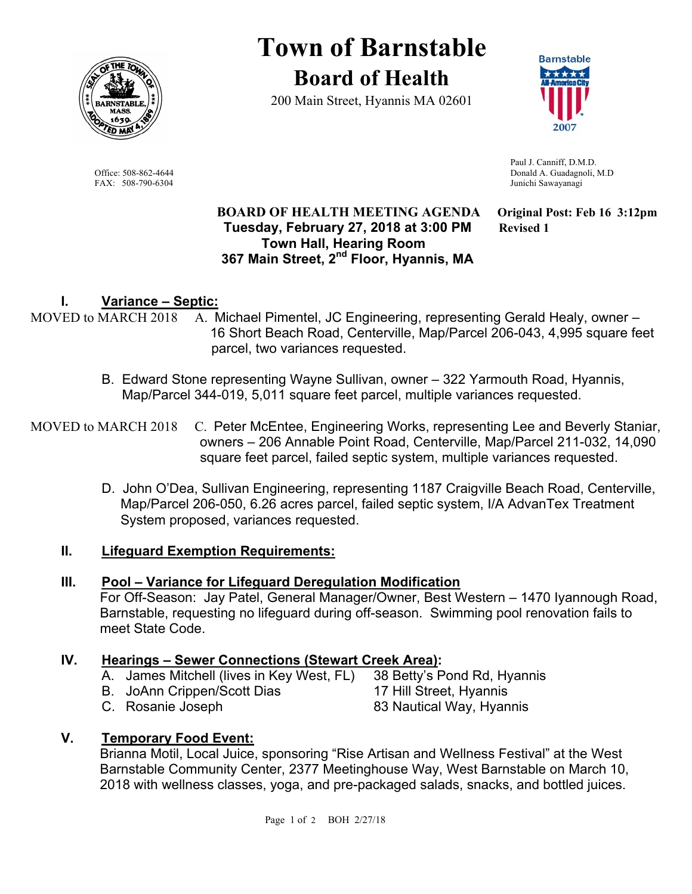

**Town of Barnstable Board of Health**

200 Main Street, Hyannis MA 02601



 Paul J. Canniff, D.M.D. Office: 508-862-4644 Donald A. Guadagnoli, M.D FAX: 508-790-6304 Junichi Sawayanagi

#### **BOARD OF HEALTH MEETING AGENDA Original Post: Feb 16 3:12pm Tuesday, February 27, 2018 at 3:00 PM Revised 1 Town Hall, Hearing Room 367 Main Street, 2nd Floor, Hyannis, MA**

# **I. Variance – Septic:**

- MOVED to MARCH 2018 A. Michael Pimentel, JC Engineering, representing Gerald Healy, owner 16 Short Beach Road, Centerville, Map/Parcel 206-043, 4,995 square feet parcel, two variances requested.
	- B. Edward Stone representing Wayne Sullivan, owner 322 Yarmouth Road, Hyannis, Map/Parcel 344-019, 5,011 square feet parcel, multiple variances requested.
- MOVED to MARCH 2018 C. Peter McEntee, Engineering Works, representing Lee and Beverly Staniar, owners – 206 Annable Point Road, Centerville, Map/Parcel 211-032, 14,090 square feet parcel, failed septic system, multiple variances requested.
	- D. John O'Dea, Sullivan Engineering, representing 1187 Craigville Beach Road, Centerville, Map/Parcel 206-050, 6.26 acres parcel, failed septic system, I/A AdvanTex Treatment System proposed, variances requested.

## **II. Lifeguard Exemption Requirements:**

## **III. Pool – Variance for Lifeguard Deregulation Modification**

For Off-Season: Jay Patel, General Manager/Owner, Best Western – 1470 Iyannough Road, Barnstable, requesting no lifeguard during off-season. Swimming pool renovation fails to meet State Code.

## **IV. Hearings – Sewer Connections (Stewart Creek Area):**

- A. James Mitchell (lives in Key West, FL) 38 Betty's Pond Rd, Hyannis
- B. JoAnn Crippen/Scott Dias 17 Hill Street, Hyannis
- -
- C. Rosanie Joseph 83 Nautical Way, Hyannis
- 

**V. Temporary Food Event:** 

Brianna Motil, Local Juice, sponsoring "Rise Artisan and Wellness Festival" at the West Barnstable Community Center, 2377 Meetinghouse Way, West Barnstable on March 10, 2018 with wellness classes, yoga, and pre-packaged salads, snacks, and bottled juices.